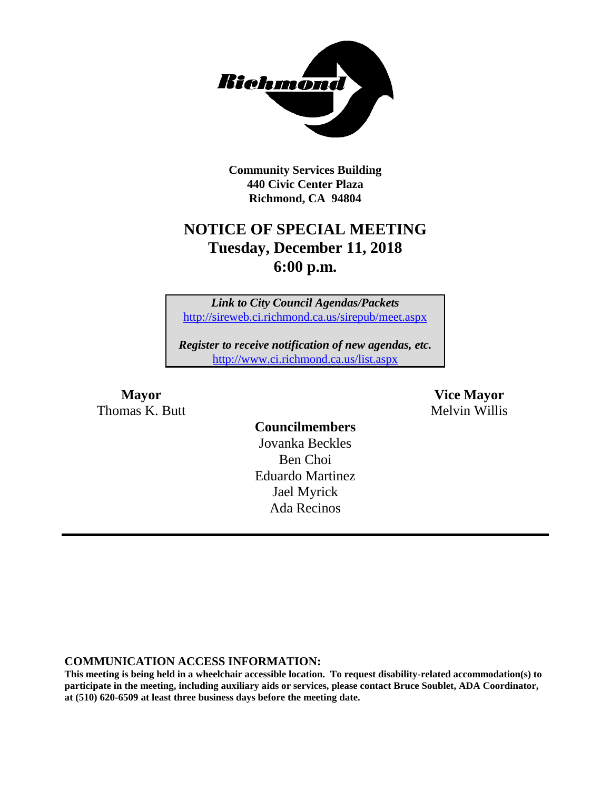

**Community Services Building 440 Civic Center Plaza Richmond, CA 94804**

# **NOTICE OF SPECIAL MEETING Tuesday, December 11, 2018 6:00 p.m.**

*Link to City Council Agendas/Packets* <http://sireweb.ci.richmond.ca.us/sirepub/meet.aspx>

*Register to receive notification of new agendas, etc.* <http://www.ci.richmond.ca.us/list.aspx>

Thomas K. Butt Melvin Willis

**Mayor Vice Mayor**

# **Councilmembers** Jovanka Beckles

Ben Choi Eduardo Martinez Jael Myrick Ada Recinos

#### **COMMUNICATION ACCESS INFORMATION:**

**This meeting is being held in a wheelchair accessible location. To request disability-related accommodation(s) to participate in the meeting, including auxiliary aids or services, please contact Bruce Soublet, ADA Coordinator, at (510) 620-6509 at least three business days before the meeting date.**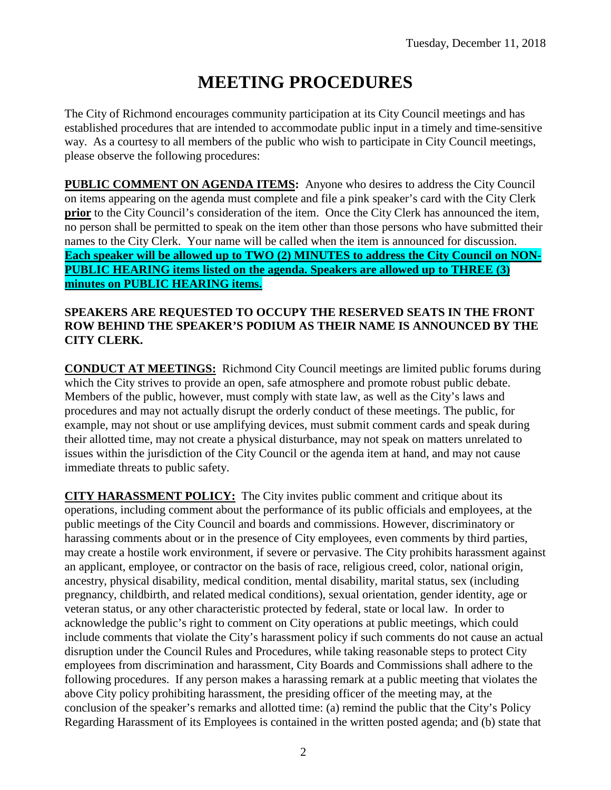# **MEETING PROCEDURES**

The City of Richmond encourages community participation at its City Council meetings and has established procedures that are intended to accommodate public input in a timely and time-sensitive way. As a courtesy to all members of the public who wish to participate in City Council meetings, please observe the following procedures:

**PUBLIC COMMENT ON AGENDA ITEMS:** Anyone who desires to address the City Council on items appearing on the agenda must complete and file a pink speaker's card with the City Clerk **prior** to the City Council's consideration of the item. Once the City Clerk has announced the item, no person shall be permitted to speak on the item other than those persons who have submitted their names to the City Clerk. Your name will be called when the item is announced for discussion. **Each speaker will be allowed up to TWO (2) MINUTES to address the City Council on NON-PUBLIC HEARING items listed on the agenda. Speakers are allowed up to THREE (3) minutes on PUBLIC HEARING items.**

## **SPEAKERS ARE REQUESTED TO OCCUPY THE RESERVED SEATS IN THE FRONT ROW BEHIND THE SPEAKER'S PODIUM AS THEIR NAME IS ANNOUNCED BY THE CITY CLERK.**

**CONDUCT AT MEETINGS:** Richmond City Council meetings are limited public forums during which the City strives to provide an open, safe atmosphere and promote robust public debate. Members of the public, however, must comply with state law, as well as the City's laws and procedures and may not actually disrupt the orderly conduct of these meetings. The public, for example, may not shout or use amplifying devices, must submit comment cards and speak during their allotted time, may not create a physical disturbance, may not speak on matters unrelated to issues within the jurisdiction of the City Council or the agenda item at hand, and may not cause immediate threats to public safety.

**CITY HARASSMENT POLICY:** The City invites public comment and critique about its operations, including comment about the performance of its public officials and employees, at the public meetings of the City Council and boards and commissions. However, discriminatory or harassing comments about or in the presence of City employees, even comments by third parties, may create a hostile work environment, if severe or pervasive. The City prohibits harassment against an applicant, employee, or contractor on the basis of race, religious creed, color, national origin, ancestry, physical disability, medical condition, mental disability, marital status, sex (including pregnancy, childbirth, and related medical conditions), sexual orientation, gender identity, age or veteran status, or any other characteristic protected by federal, state or local law. In order to acknowledge the public's right to comment on City operations at public meetings, which could include comments that violate the City's harassment policy if such comments do not cause an actual disruption under the Council Rules and Procedures, while taking reasonable steps to protect City employees from discrimination and harassment, City Boards and Commissions shall adhere to the following procedures. If any person makes a harassing remark at a public meeting that violates the above City policy prohibiting harassment, the presiding officer of the meeting may, at the conclusion of the speaker's remarks and allotted time: (a) remind the public that the City's Policy Regarding Harassment of its Employees is contained in the written posted agenda; and (b) state that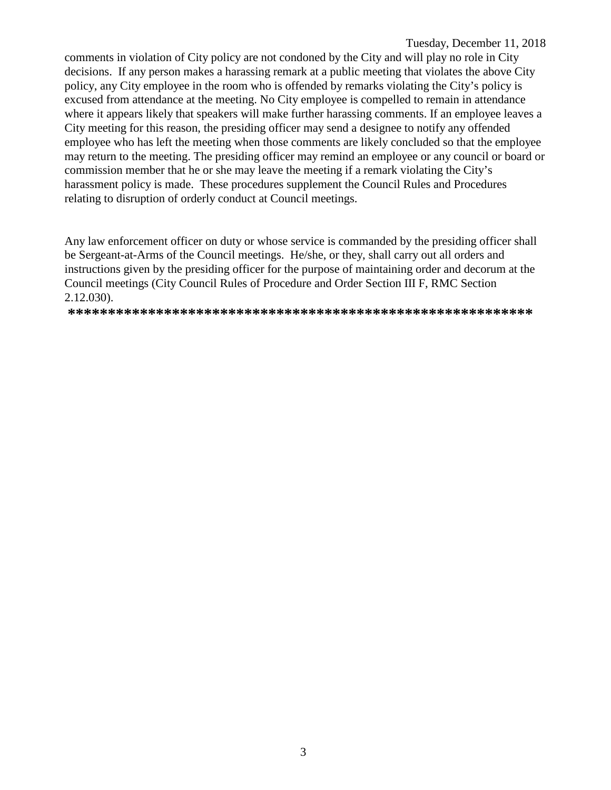#### Tuesday, December 11, 2018

comments in violation of City policy are not condoned by the City and will play no role in City decisions. If any person makes a harassing remark at a public meeting that violates the above City policy, any City employee in the room who is offended by remarks violating the City's policy is excused from attendance at the meeting. No City employee is compelled to remain in attendance where it appears likely that speakers will make further harassing comments. If an employee leaves a City meeting for this reason, the presiding officer may send a designee to notify any offended employee who has left the meeting when those comments are likely concluded so that the employee may return to the meeting. The presiding officer may remind an employee or any council or board or commission member that he or she may leave the meeting if a remark violating the City's harassment policy is made. These procedures supplement the Council Rules and Procedures relating to disruption of orderly conduct at Council meetings.

Any law enforcement officer on duty or whose service is commanded by the presiding officer shall be Sergeant-at-Arms of the Council meetings. He/she, or they, shall carry out all orders and instructions given by the presiding officer for the purpose of maintaining order and decorum at the Council meetings (City Council Rules of Procedure and Order Section III F, RMC Section  $2.12.030$ ).